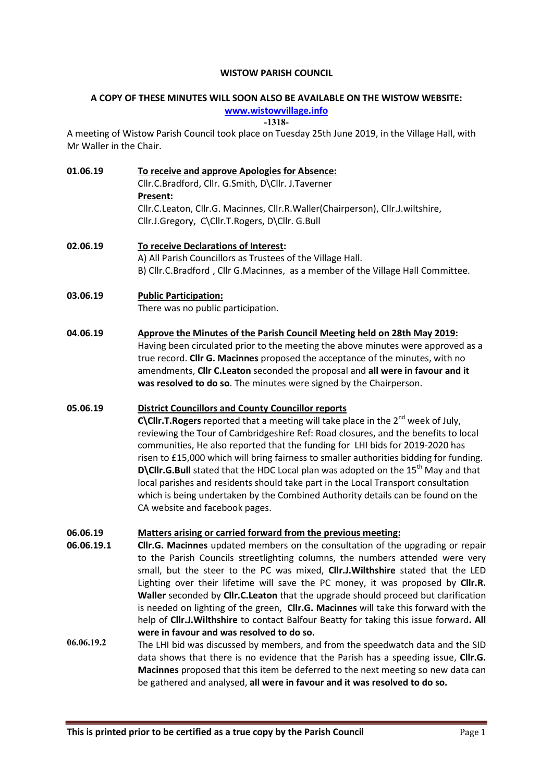#### WISTOW PARISH COUNCIL

# A COPY OF THESE MINUTES WILL SOON ALSO BE AVAILABLE ON THE WISTOW WEBSITE:

www.wistowvillage.info

-1318-

A meeting of Wistow Parish Council took place on Tuesday 25th June 2019, in the Village Hall, with Mr Waller in the Chair.

01.06.19 To receive and approve Apologies for Absence: Cllr.C.Bradford, Cllr. G.Smith, D\Cllr. J.Taverner Present: Cllr.C.Leaton, Cllr.G. Macinnes, Cllr.R.Waller(Chairperson), Cllr.J.wiltshire, Cllr.J.Gregory, C\Cllr.T.Rogers, D\Cllr. G.Bull

02.06.19 To receive Declarations of Interest: A) All Parish Councillors as Trustees of the Village Hall. B) Cllr.C.Bradford , Cllr G.Macinnes, as a member of the Village Hall Committee.

03.06.19 Public Participation: There was no public participation.

04.06.19 Approve the Minutes of the Parish Council Meeting held on 28th May 2019: Having been circulated prior to the meeting the above minutes were approved as a true record. Cllr G. Macinnes proposed the acceptance of the minutes, with no amendments, Cllr C.Leaton seconded the proposal and all were in favour and it was resolved to do so. The minutes were signed by the Chairperson.

## 05.06.19 District Councillors and County Councillor reports

C\Cllr.T. Rogers reported that a meeting will take place in the  $2^{nd}$  week of July, reviewing the Tour of Cambridgeshire Ref: Road closures, and the benefits to local communities, He also reported that the funding for LHI bids for 2019-2020 has risen to £15,000 which will bring fairness to smaller authorities bidding for funding. **D\Cllr.G.Bull** stated that the HDC Local plan was adopted on the  $15<sup>th</sup>$  May and that local parishes and residents should take part in the Local Transport consultation which is being undertaken by the Combined Authority details can be found on the CA website and facebook pages.

#### 06.06.19 Matters arising or carried forward from the previous meeting:

- 06.06.19.1 Cllr.G. Macinnes updated members on the consultation of the upgrading or repair to the Parish Councils streetlighting columns, the numbers attended were very small, but the steer to the PC was mixed, **Cllr.J.Wilthshire** stated that the LED Lighting over their lifetime will save the PC money, it was proposed by Cllr.R. Waller seconded by Cllr.C.Leaton that the upgrade should proceed but clarification is needed on lighting of the green, Cllr.G. Macinnes will take this forward with the help of Cllr.J.Wilthshire to contact Balfour Beatty for taking this issue forward. All were in favour and was resolved to do so.
- 06.06.19.2 The LHI bid was discussed by members, and from the speedwatch data and the SID data shows that there is no evidence that the Parish has a speeding issue, Cllr.G. Macinnes proposed that this item be deferred to the next meeting so new data can be gathered and analysed, all were in favour and it was resolved to do so.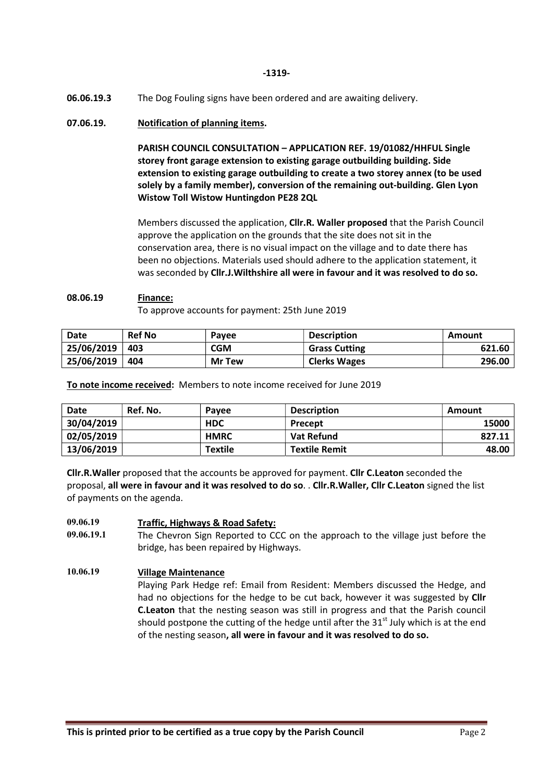-1319-

06.06.19.3 The Dog Fouling signs have been ordered and are awaiting delivery.

## 07.06.19. Notification of planning items.

PARISH COUNCIL CONSULTATION – APPLICATION REF. 19/01082/HHFUL Single storey front garage extension to existing garage outbuilding building. Side extension to existing garage outbuilding to create a two storey annex (to be used solely by a family member), conversion of the remaining out-building. Glen Lyon Wistow Toll Wistow Huntingdon PE28 2QL

Members discussed the application, Cllr.R. Waller proposed that the Parish Council approve the application on the grounds that the site does not sit in the conservation area, there is no visual impact on the village and to date there has been no objections. Materials used should adhere to the application statement, it was seconded by Cllr.J.Wilthshire all were in favour and it was resolved to do so.

#### 08.06.19 Finance:

To approve accounts for payment: 25th June 2019

| Date       | <b>Ref No</b> | Payee         | <b>Description</b>   | Amount |
|------------|---------------|---------------|----------------------|--------|
| 25/06/2019 | 403           | <b>CGM</b>    | <b>Grass Cutting</b> | 621.60 |
| 25/06/2019 | 404           | <b>Mr Tew</b> | <b>Clerks Wages</b>  | 296.00 |

To note income received: Members to note income received for June 2019

| Date       | Ref. No. | Pavee          | <b>Description</b>   | Amount |
|------------|----------|----------------|----------------------|--------|
| 30/04/2019 |          | <b>HDC</b>     | Precept              | 15000  |
| 02/05/2019 |          | <b>HMRC</b>    | Vat Refund           | 827.11 |
| 13/06/2019 |          | <b>Textile</b> | <b>Textile Remit</b> | 48.00  |

Cllr.R.Waller proposed that the accounts be approved for payment. Cllr C.Leaton seconded the proposal, all were in favour and it was resolved to do so. . Cllr.R.Waller, Cllr C.Leaton signed the list of payments on the agenda.

#### 09.06.19 Traffic, Highways & Road Safety:

09.06.19.1 The Chevron Sign Reported to CCC on the approach to the village just before the bridge, has been repaired by Highways.

## 10.06.19 Village Maintenance

Playing Park Hedge ref: Email from Resident: Members discussed the Hedge, and had no objections for the hedge to be cut back, however it was suggested by Cllr C.Leaton that the nesting season was still in progress and that the Parish council should postpone the cutting of the hedge until after the  $31<sup>st</sup>$  July which is at the end of the nesting season, all were in favour and it was resolved to do so.